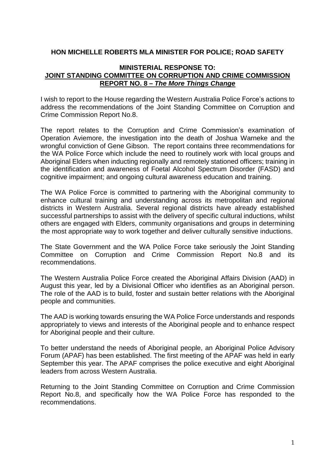#### **HON MICHELLE ROBERTS MLA MINISTER FOR POLICE; ROAD SAFETY**

#### **MINISTERIAL RESPONSE TO: JOINT STANDING COMMITTEE ON CORRUPTION AND CRIME COMMISSION REPORT NO. 8 –** *The More Things Change*

I wish to report to the House regarding the Western Australia Police Force's actions to address the recommendations of the Joint Standing Committee on Corruption and Crime Commission Report No.8.

The report relates to the Corruption and Crime Commission's examination of Operation Aviemore, the investigation into the death of Joshua Warneke and the wrongful conviction of Gene Gibson. The report contains three recommendations for the WA Police Force which include the need to routinely work with local groups and Aboriginal Elders when inducting regionally and remotely stationed officers; training in the identification and awareness of Foetal Alcohol Spectrum Disorder (FASD) and cognitive impairment; and ongoing cultural awareness education and training.

The WA Police Force is committed to partnering with the Aboriginal community to enhance cultural training and understanding across its metropolitan and regional districts in Western Australia. Several regional districts have already established successful partnerships to assist with the delivery of specific cultural inductions, whilst others are engaged with Elders, community organisations and groups in determining the most appropriate way to work together and deliver culturally sensitive inductions.

The State Government and the WA Police Force take seriously the Joint Standing Committee on Corruption and Crime Commission Report No.8 and its recommendations.

The Western Australia Police Force created the Aboriginal Affairs Division (AAD) in August this year, led by a Divisional Officer who identifies as an Aboriginal person. The role of the AAD is to build, foster and sustain better relations with the Aboriginal people and communities.

The AAD is working towards ensuring the WA Police Force understands and responds appropriately to views and interests of the Aboriginal people and to enhance respect for Aboriginal people and their culture.

To better understand the needs of Aboriginal people, an Aboriginal Police Advisory Forum (APAF) has been established. The first meeting of the APAF was held in early September this year. The APAF comprises the police executive and eight Aboriginal leaders from across Western Australia.

Returning to the Joint Standing Committee on Corruption and Crime Commission Report No.8, and specifically how the WA Police Force has responded to the recommendations.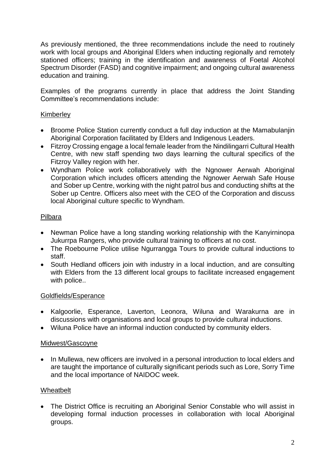As previously mentioned, the three recommendations include the need to routinely work with local groups and Aboriginal Elders when inducting regionally and remotely stationed officers; training in the identification and awareness of Foetal Alcohol Spectrum Disorder (FASD) and cognitive impairment; and ongoing cultural awareness education and training.

Examples of the programs currently in place that address the Joint Standing Committee's recommendations include:

# Kimberley

- Broome Police Station currently conduct a full day induction at the Mamabulanjin Aboriginal Corporation facilitated by Elders and Indigenous Leaders.
- Fitzroy Crossing engage a local female leader from the Nindilingarri Cultural Health Centre, with new staff spending two days learning the cultural specifics of the Fitzroy Valley region with her.
- Wyndham Police work collaboratively with the Ngnower Aerwah Aboriginal Corporation which includes officers attending the Ngnower Aerwah Safe House and Sober up Centre, working with the night patrol bus and conducting shifts at the Sober up Centre. Officers also meet with the CEO of the Corporation and discuss local Aboriginal culture specific to Wyndham.

# Pilbara

- Newman Police have a long standing working relationship with the Kanyirninopa Jukurrpa Rangers, who provide cultural training to officers at no cost.
- The Roebourne Police utilise Ngurrangga Tours to provide cultural inductions to staff.
- South Hedland officers join with industry in a local induction, and are consulting with Elders from the 13 different local groups to facilitate increased engagement with police..

# Goldfields/Esperance

- Kalgoorlie, Esperance, Laverton, Leonora, Wiluna and Warakurna are in discussions with organisations and local groups to provide cultural inductions.
- Wiluna Police have an informal induction conducted by community elders.

# Midwest/Gascoyne

• In Mullewa, new officers are involved in a personal introduction to local elders and are taught the importance of culturally significant periods such as Lore, Sorry Time and the local importance of NAIDOC week.

# Wheatbelt

• The District Office is recruiting an Aboriginal Senior Constable who will assist in developing formal induction processes in collaboration with local Aboriginal groups.